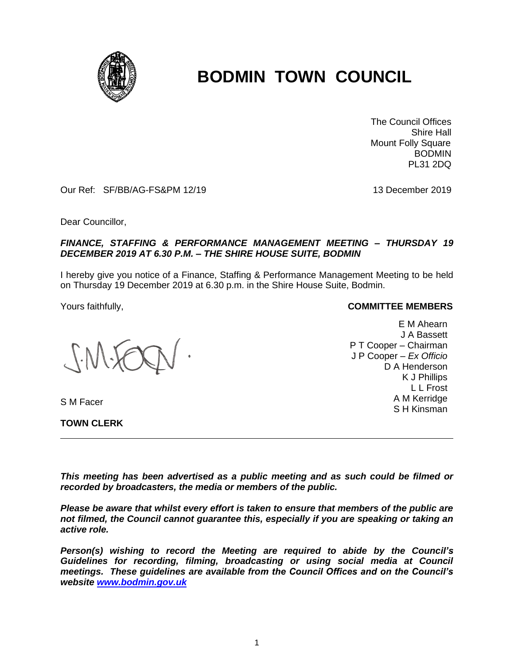

# **BODMIN TOWN COUNCIL**

 The Council Offices Shire Hall Mount Folly Square BODMIN PL31 2DQ

Our Ref: SF/BB/AG-FS&PM 12/19 13 December 2019

Dear Councillor,

## *FINANCE, STAFFING & PERFORMANCE MANAGEMENT MEETING – THURSDAY 19 DECEMBER 2019 AT 6.30 P.M. – THE SHIRE HOUSE SUITE, BODMIN*

I hereby give you notice of a Finance, Staffing & Performance Management Meeting to be held on Thursday 19 December 2019 at 6.30 p.m. in the Shire House Suite, Bodmin.

S M Facer

**TOWN CLERK**

#### Yours faithfully, **COMMITTEE MEMBERS**

E M Ahearn J A Bassett P T Cooper – Chairman J P Cooper – *Ex Officio* D A Henderson K J Phillips L L Frost A M Kerridge S H Kinsman

*This meeting has been advertised as a public meeting and as such could be filmed or recorded by broadcasters, the media or members of the public.*

*Please be aware that whilst every effort is taken to ensure that members of the public are not filmed, the Council cannot guarantee this, especially if you are speaking or taking an active role.*

*Person(s) wishing to record the Meeting are required to abide by the Council's Guidelines for recording, filming, broadcasting or using social media at Council meetings. These guidelines are available from the Council Offices and on the Council's website [www.bodmin.gov.uk](http://www.bodmin.gov.uk/)*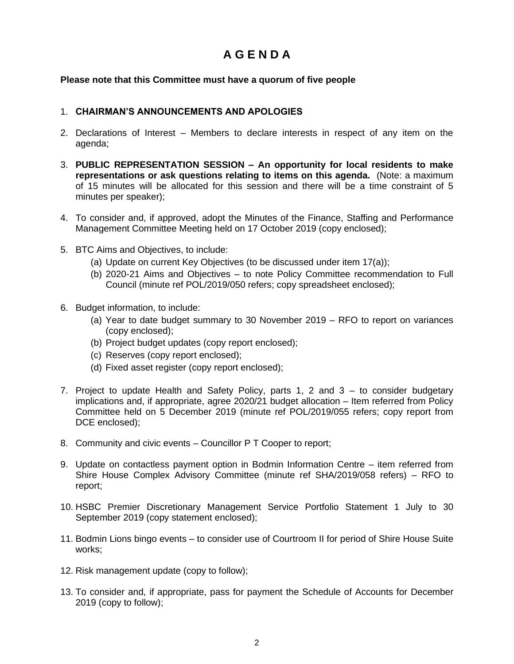# **A G E N D A**

# **Please note that this Committee must have a quorum of five people**

## 1. **CHAIRMAN'S ANNOUNCEMENTS AND APOLOGIES**

- 2. Declarations of Interest Members to declare interests in respect of any item on the agenda;
- 3. **PUBLIC REPRESENTATION SESSION – An opportunity for local residents to make representations or ask questions relating to items on this agenda.** (Note: a maximum of 15 minutes will be allocated for this session and there will be a time constraint of 5 minutes per speaker);
- 4. To consider and, if approved, adopt the Minutes of the Finance, Staffing and Performance Management Committee Meeting held on 17 October 2019 (copy enclosed);
- 5. BTC Aims and Objectives, to include:
	- (a) Update on current Key Objectives (to be discussed under item 17(a));
	- (b) 2020-21 Aims and Objectives to note Policy Committee recommendation to Full Council (minute ref POL/2019/050 refers; copy spreadsheet enclosed);
- 6. Budget information, to include:
	- (a) Year to date budget summary to 30 November 2019 RFO to report on variances (copy enclosed);
	- (b) Project budget updates (copy report enclosed);
	- (c) Reserves (copy report enclosed);
	- (d) Fixed asset register (copy report enclosed);
- 7. Project to update Health and Safety Policy, parts 1, 2 and 3 to consider budgetary implications and, if appropriate, agree 2020/21 budget allocation – Item referred from Policy Committee held on 5 December 2019 (minute ref POL/2019/055 refers; copy report from DCE enclosed);
- 8. Community and civic events Councillor P T Cooper to report;
- 9. Update on contactless payment option in Bodmin Information Centre item referred from Shire House Complex Advisory Committee (minute ref SHA/2019/058 refers) – RFO to report;
- 10. HSBC Premier Discretionary Management Service Portfolio Statement 1 July to 30 September 2019 (copy statement enclosed);
- 11. Bodmin Lions bingo events to consider use of Courtroom II for period of Shire House Suite works;
- 12. Risk management update (copy to follow);
- 13. To consider and, if appropriate, pass for payment the Schedule of Accounts for December 2019 (copy to follow);